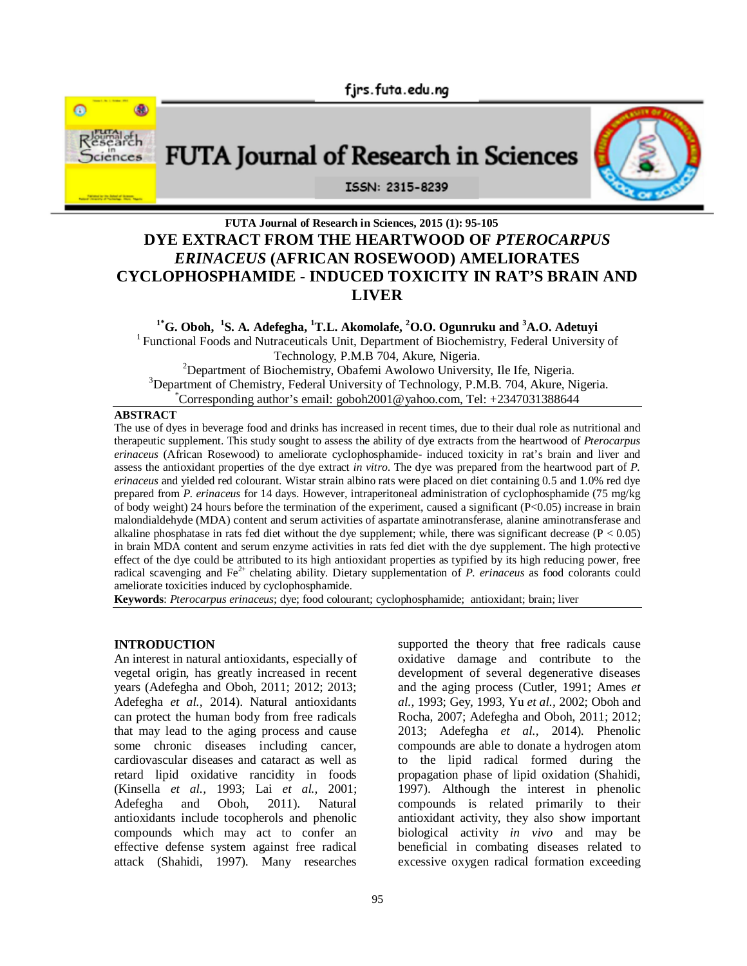fjrs.futa.edu.ng



# FUTA Journal of Research in Sciences



#### ISSN: 2315-8239

## **FUTA Journal of Research in Sciences, 2015 (1): 95-105 DYE EXTRACT FROM THE HEARTWOOD OF** *PTEROCARPUS ERINACEUS* **(AFRICAN ROSEWOOD) AMELIORATES CYCLOPHOSPHAMIDE - INDUCED TOXICITY IN RAT'S BRAIN AND LIVER**

#### **1\*G. Oboh, 1 S. A. Adefegha, <sup>1</sup>T.L. Akomolafe, <sup>2</sup>O.O. Ogunruku and <sup>3</sup>A.O. Adetuyi** <sup>1</sup> Functional Foods and Nutraceuticals Unit, Department of Biochemistry, Federal University of Technology, P.M.B 704, Akure, Nigeria. <sup>2</sup>Department of Biochemistry, Obafemi Awolowo University, Ile Ife, Nigeria.  $3$ Department of Chemistry, Federal University of Technology, P.M.B. 704, Akure, Nigeria.  $^{\circ}$ Corresponding author's email: goboh2001@yahoo.com, Tel: +2347031388644

#### **ABSTRACT**

The use of dyes in beverage food and drinks has increased in recent times, due to their dual role as nutritional and therapeutic supplement. This study sought to assess the ability of dye extracts from the heartwood of *Pterocarpus erinaceus* (African Rosewood) to ameliorate cyclophosphamide- induced toxicity in rat's brain and liver and assess the antioxidant properties of the dye extract *in vitro*. The dye was prepared from the heartwood part of *P. erinaceus* and yielded red colourant. Wistar strain albino rats were placed on diet containing 0.5 and 1.0% red dye prepared from *P. erinaceus* for 14 days. However, intraperitoneal administration of cyclophosphamide (75 mg/kg of body weight) 24 hours before the termination of the experiment, caused a significant (P<0.05) increase in brain malondialdehyde (MDA) content and serum activities of aspartate aminotransferase, alanine aminotransferase and alkaline phosphatase in rats fed diet without the dye supplement; while, there was significant decrease ( $P < 0.05$ ) in brain MDA content and serum enzyme activities in rats fed diet with the dye supplement. The high protective effect of the dye could be attributed to its high antioxidant properties as typified by its high reducing power, free radical scavenging and Fe2+ chelating ability. Dietary supplementation of *P. erinaceus* as food colorants could ameliorate toxicities induced by cyclophosphamide.

**Keywords**: *Pterocarpus erinaceus*; dye; food colourant; cyclophosphamide; antioxidant; brain; liver

#### **INTRODUCTION**

An interest in natural antioxidants, especially of vegetal origin, has greatly increased in recent years (Adefegha and Oboh, 2011; 2012; 2013; Adefegha *et al.,* 2014). Natural antioxidants can protect the human body from free radicals that may lead to the aging process and cause some chronic diseases including cancer, cardiovascular diseases and cataract as well as retard lipid oxidative rancidity in foods (Kinsella *et al.,* 1993; Lai *et al.,* 2001; Adefegha and Oboh, 2011). Natural antioxidants include tocopherols and phenolic compounds which may act to confer an effective defense system against free radical attack (Shahidi, 1997). Many researches

supported the theory that free radicals cause oxidative damage and contribute to the development of several degenerative diseases and the aging process (Cutler, 1991; Ames *et al.,* 1993; Gey, 1993, Yu *et al.,* 2002; Oboh and Rocha, 2007; Adefegha and Oboh, 2011; 2012; 2013; Adefegha *et al.,* 2014). Phenolic compounds are able to donate a hydrogen atom to the lipid radical formed during the propagation phase of lipid oxidation (Shahidi, 1997). Although the interest in phenolic compounds is related primarily to their antioxidant activity, they also show important biological activity *in vivo* and may be beneficial in combating diseases related to excessive oxygen radical formation exceeding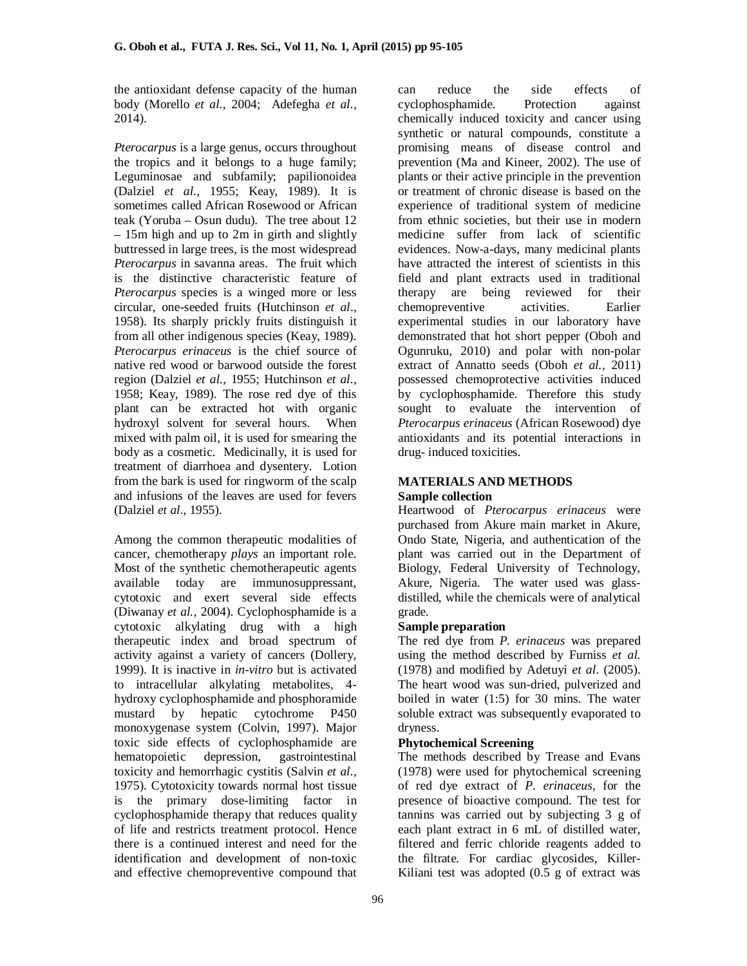the antioxidant defense capacity of the human body (Morello *et al.,* 2004; Adefegha *et al.,* 2014).

*Pterocarpus* is a large genus, occurs throughout the tropics and it belongs to a huge family; Leguminosae and subfamily; papilionoidea (Dalziel *et al.,* 1955; Keay, 1989). It is sometimes called African Rosewood or African teak (Yoruba – Osun dudu). The tree about 12 – 15m high and up to 2m in girth and slightly buttressed in large trees, is the most widespread *Pterocarpus* in savanna areas. The fruit which is the distinctive characteristic feature of *Pterocarpus* species is a winged more or less circular, one-seeded fruits (Hutchinson *et al*., 1958). Its sharply prickly fruits distinguish it from all other indigenous species (Keay, 1989). *Pterocarpus erinaceus* is the chief source of native red wood or barwood outside the forest region (Dalziel *et al.,* 1955; Hutchinson *et al.,* 1958; Keay, 1989). The rose red dye of this plant can be extracted hot with organic hydroxyl solvent for several hours. When mixed with palm oil, it is used for smearing the body as a cosmetic. Medicinally, it is used for treatment of diarrhoea and dysentery. Lotion from the bark is used for ringworm of the scalp and infusions of the leaves are used for fevers (Dalziel *et al.,* 1955).

Among the common therapeutic modalities of cancer, chemotherapy *plays* an important role. Most of the synthetic chemotherapeutic agents available today are immunosuppressant, cytotoxic and exert several side effects (Diwanay *et al.,* 2004). Cyclophosphamide is a cytotoxic alkylating drug with a high therapeutic index and broad spectrum of activity against a variety of cancers (Dollery, 1999). It is inactive in *in-vitro* but is activated to intracellular alkylating metabolites, 4 hydroxy cyclophosphamide and phosphoramide mustard by hepatic cytochrome P450 monoxygenase system (Colvin, 1997). Major toxic side effects of cyclophosphamide are hematopoietic depression, gastrointestinal toxicity and hemorrhagic cystitis (Salvin *et al.,* 1975). Cytotoxicity towards normal host tissue is the primary dose-limiting factor in cyclophosphamide therapy that reduces quality of life and restricts treatment protocol. Hence there is a continued interest and need for the identification and development of non-toxic and effective chemopreventive compound that

can reduce the side effects of cyclophosphamide. Protection against chemically induced toxicity and cancer using synthetic or natural compounds, constitute a promising means of disease control and prevention (Ma and Kineer, 2002). The use of plants or their active principle in the prevention or treatment of chronic disease is based on the experience of traditional system of medicine from ethnic societies, but their use in modern medicine suffer from lack of scientific evidences. Now-a-days, many medicinal plants have attracted the interest of scientists in this field and plant extracts used in traditional therapy are being reviewed for their chemopreventive activities. Earlier experimental studies in our laboratory have demonstrated that hot short pepper (Oboh and Ogunruku, 2010) and polar with non-polar extract of Annatto seeds (Oboh *et al.,* 2011) possessed chemoprotective activities induced by cyclophosphamide. Therefore this study sought to evaluate the intervention of *Pterocarpus erinaceus* (African Rosewood) dye antioxidants and its potential interactions in drug- induced toxicities.

#### **MATERIALS AND METHODS Sample collection**

Heartwood of *Pterocarpus erinaceus* were purchased from Akure main market in Akure, Ondo State, Nigeria, and authentication of the plant was carried out in the Department of Biology, Federal University of Technology, Akure, Nigeria. The water used was glassdistilled, while the chemicals were of analytical grade.

#### **Sample preparation**

The red dye from *P. erinaceus* was prepared using the method described by Furniss *et al.* (1978) and modified by Adetuyi *et al*. (2005). The heart wood was sun-dried, pulverized and boiled in water (1:5) for 30 mins. The water soluble extract was subsequently evaporated to dryness.

#### **Phytochemical Screening**

The methods described by Trease and Evans (1978) were used for phytochemical screening of red dye extract of *P. erinaceus*, for the presence of bioactive compound. The test for tannins was carried out by subjecting 3 g of each plant extract in 6 mL of distilled water, filtered and ferric chloride reagents added to the filtrate. For cardiac glycosides, Killer-Kiliani test was adopted (0.5 g of extract was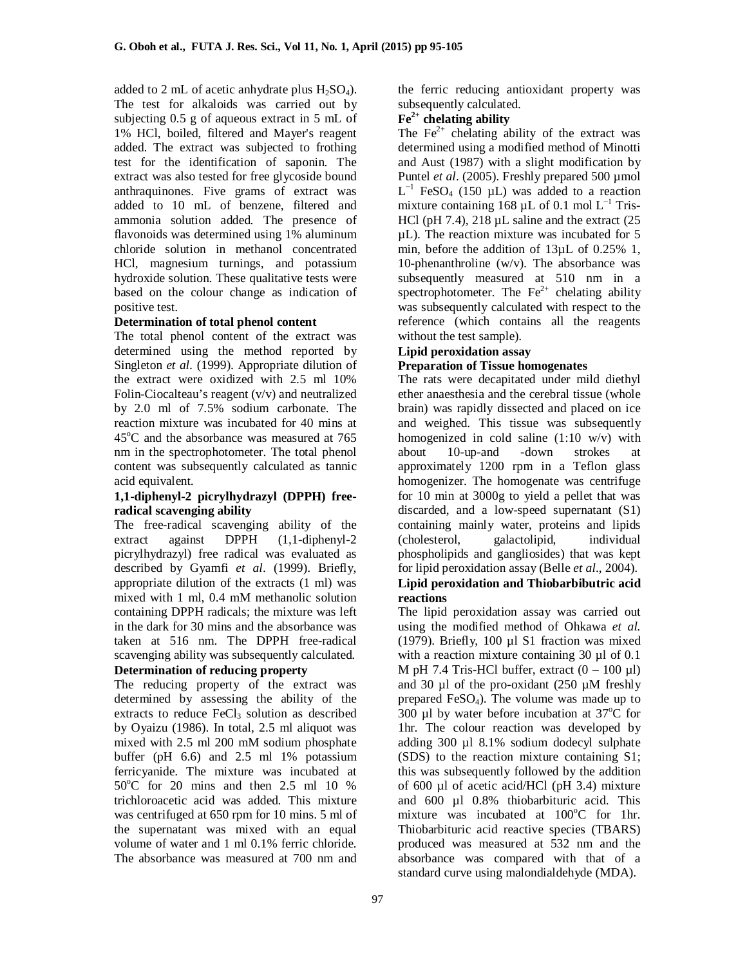added to 2 mL of acetic anhydrate plus  $H_2SO_4$ ). The test for alkaloids was carried out by subjecting 0.5 g of aqueous extract in 5 mL of 1% HCl, boiled, filtered and Mayer's reagent added. The extract was subjected to frothing test for the identification of saponin. The extract was also tested for free glycoside bound anthraquinones. Five grams of extract was added to 10 mL of benzene, filtered and ammonia solution added. The presence of flavonoids was determined using 1% aluminum chloride solution in methanol concentrated HCl, magnesium turnings, and potassium hydroxide solution. These qualitative tests were based on the colour change as indication of positive test.

#### **Determination of total phenol content**

The total phenol content of the extract was determined using the method reported by Singleton *et al.* (1999). Appropriate dilution of the extract were oxidized with 2.5 ml 10% Folin-Ciocalteau's reagent (v/v) and neutralized by 2.0 ml of 7.5% sodium carbonate. The reaction mixture was incubated for 40 mins at  $45^{\circ}$ C and the absorbance was measured at 765 nm in the spectrophotometer. The total phenol content was subsequently calculated as tannic acid equivalent.

#### **1,1-diphenyl-2 picrylhydrazyl (DPPH) freeradical scavenging ability**

The free-radical scavenging ability of the extract against DPPH (1,1-diphenyl-2 picrylhydrazyl) free radical was evaluated as described by Gyamfi *et al*. (1999). Briefly, appropriate dilution of the extracts (1 ml) was mixed with 1 ml, 0.4 mM methanolic solution containing DPPH radicals; the mixture was left in the dark for 30 mins and the absorbance was taken at 516 nm. The DPPH free-radical scavenging ability was subsequently calculated.

#### **Determination of reducing property**

The reducing property of the extract was determined by assessing the ability of the extracts to reduce  $FeCl<sub>3</sub>$  solution as described by Oyaizu (1986). In total, 2.5 ml aliquot was mixed with 2.5 ml 200 mM sodium phosphate buffer (pH 6.6) and 2.5 ml 1% potassium ferricyanide. The mixture was incubated at  $50^{\circ}$ C for 20 mins and then 2.5 ml 10 % trichloroacetic acid was added. This mixture was centrifuged at 650 rpm for 10 mins. 5 ml of the supernatant was mixed with an equal volume of water and 1 ml 0.1% ferric chloride. The absorbance was measured at 700 nm and

the ferric reducing antioxidant property was subsequently calculated.

#### **Fe2+ chelating ability**

The  $Fe<sup>2+</sup>$  chelating ability of the extract was determined using a modified method of Minotti and Aust (1987) with a slight modification by Puntel *et al.* (2005). Freshly prepared 500 umol  $L^{-1}$  FeSO<sub>4</sub> (150 µL) was added to a reaction mixture containing 168  $\mu$ L of 0.1 mol L<sup>-1</sup> Tris-HCl (pH 7.4),  $218 \mu L$  saline and the extract (25) µL). The reaction mixture was incubated for 5 min, before the addition of 13µL of 0.25% 1, 10-phenanthroline  $(w/v)$ . The absorbance was subsequently measured at 510 nm in a spectrophotometer. The  $Fe^{2+}$  chelating ability was subsequently calculated with respect to the reference (which contains all the reagents without the test sample).

#### **Lipid peroxidation assay Preparation of Tissue homogenates**

The rats were decapitated under mild diethyl ether anaesthesia and the cerebral tissue (whole brain) was rapidly dissected and placed on ice and weighed. This tissue was subsequently homogenized in cold saline (1:10 w/v) with about 10-up-and -down strokes at approximately 1200 rpm in a Teflon glass homogenizer. The homogenate was centrifuge for 10 min at 3000g to yield a pellet that was discarded, and a low-speed supernatant (S1) containing mainly water, proteins and lipids (cholesterol, galactolipid, individual phospholipids and gangliosides) that was kept for lipid peroxidation assay (Belle *et al*., 2004). **Lipid peroxidation and Thiobarbibutric acid reactions**

The lipid peroxidation assay was carried out using the modified method of Ohkawa *et al.* (1979). Briefly, 100 µl S1 fraction was mixed with a reaction mixture containing 30  $\mu$ l of 0.1 M pH 7.4 Tris-HCl buffer, extract  $(0 - 100 \mu l)$ and 30  $\mu$ l of the pro-oxidant (250  $\mu$ M freshly prepared FeSO4). The volume was made up to 300 µl by water before incubation at  $37^{\circ}$ C for 1hr. The colour reaction was developed by adding 300 µl 8.1% sodium dodecyl sulphate (SDS) to the reaction mixture containing S1; this was subsequently followed by the addition of 600 µl of acetic acid/HCl (pH 3.4) mixture and 600 µl 0.8% thiobarbituric acid. This mixture was incubated at  $100^{\circ}$ C for 1hr. Thiobarbituric acid reactive species (TBARS) produced was measured at 532 nm and the absorbance was compared with that of a standard curve using malondialdehyde (MDA).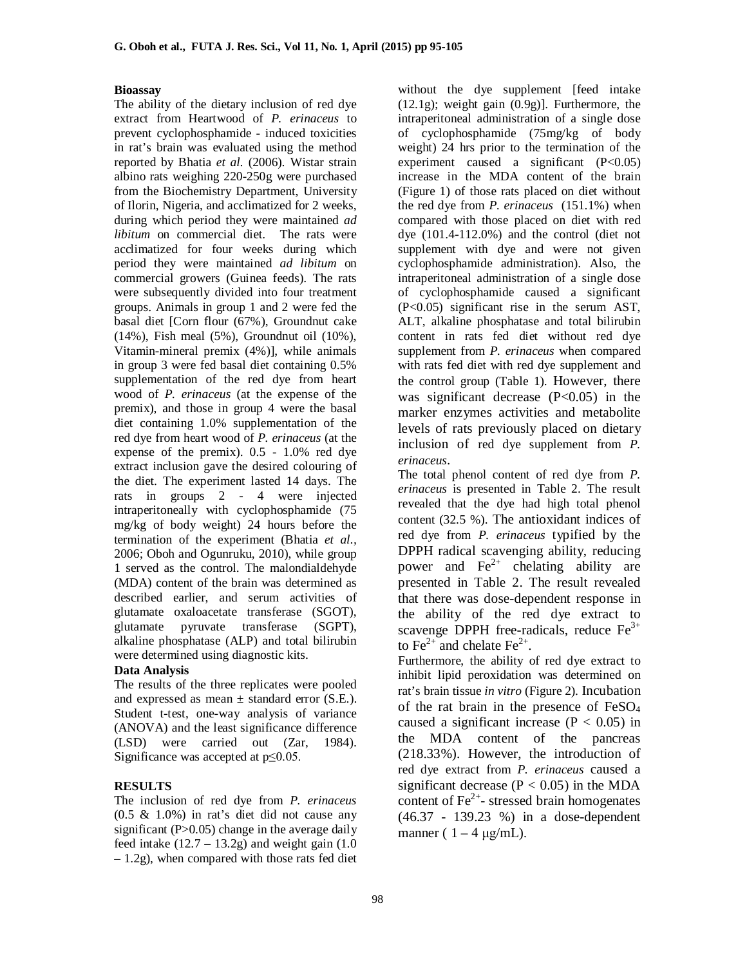#### **Bioassay**

The ability of the dietary inclusion of red dye extract from Heartwood of *P. erinaceus* to prevent cyclophosphamide - induced toxicities in rat's brain was evaluated using the method reported by Bhatia *et al.* (2006). Wistar strain albino rats weighing 220-250g were purchased from the Biochemistry Department, University of Ilorin, Nigeria, and acclimatized for 2 weeks, during which period they were maintained *ad libitum* on commercial diet. The rats were acclimatized for four weeks during which period they were maintained *ad libitum* on commercial growers (Guinea feeds). The rats were subsequently divided into four treatment groups. Animals in group 1 and 2 were fed the basal diet [Corn flour (67%), Groundnut cake (14%), Fish meal (5%), Groundnut oil (10%), Vitamin-mineral premix (4%)], while animals in group 3 were fed basal diet containing 0.5% supplementation of the red dye from heart wood of *P. erinaceus* (at the expense of the premix), and those in group 4 were the basal diet containing 1.0% supplementation of the red dye from heart wood of *P. erinaceus* (at the expense of the premix). 0.5 - 1.0% red dye extract inclusion gave the desired colouring of the diet. The experiment lasted 14 days. The rats in groups 2 - 4 were injected intraperitoneally with cyclophosphamide (75 mg/kg of body weight) 24 hours before the termination of the experiment (Bhatia *et al.,* 2006; Oboh and Ogunruku, 2010), while group 1 served as the control. The malondialdehyde (MDA) content of the brain was determined as described earlier, and serum activities of glutamate oxaloacetate transferase (SGOT), glutamate pyruvate transferase (SGPT), alkaline phosphatase (ALP) and total bilirubin were determined using diagnostic kits.

#### **Data Analysis**

The results of the three replicates were pooled and expressed as mean  $\pm$  standard error (S.E.). Student t-test, one-way analysis of variance (ANOVA) and the least significance difference (LSD) were carried out (Zar, 1984). Significance was accepted at  $p \le 0.05$ .

#### **RESULTS**

The inclusion of red dye from *P. erinaceus*  $(0.5 \& 1.0\%)$  in rat's diet did not cause any significant  $(P>0.05)$  change in the average daily feed intake  $(12.7 - 13.2)$  and weight gain  $(1.0)$ – 1.2g), when compared with those rats fed diet

without the dye supplement [feed intake (12.1g); weight gain (0.9g)]. Furthermore, the intraperitoneal administration of a single dose of cyclophosphamide (75mg/kg of body weight) 24 hrs prior to the termination of the experiment caused a significant  $(P<0.05)$ increase in the MDA content of the brain (Figure 1) of those rats placed on diet without the red dye from *P. erinaceus* (151.1%) when compared with those placed on diet with red dye (101.4-112.0%) and the control (diet not supplement with dye and were not given cyclophosphamide administration). Also, the intraperitoneal administration of a single dose of cyclophosphamide caused a significant (P<0.05) significant rise in the serum AST, ALT, alkaline phosphatase and total bilirubin content in rats fed diet without red dye supplement from *P. erinaceus* when compared with rats fed diet with red dye supplement and the control group (Table 1). However, there was significant decrease  $(P<0.05)$  in the marker enzymes activities and metabolite levels of rats previously placed on dietary inclusion of red dye supplement from *P. erinaceus*.

The total phenol content of red dye from *P. erinaceus* is presented in Table 2. The result revealed that the dye had high total phenol content (32.5 %). The antioxidant indices of red dye from *P. erinaceus* typified by the DPPH radical scavenging ability, reducing power and  $\text{Fe}^{2+}$  chelating ability are presented in Table 2. The result revealed that there was dose-dependent response in the ability of the red dye extract to scavenge DPPH free-radicals, reduce  $Fe<sup>3+</sup>$ to  $\text{Fe}^{2+}$  and chelate  $\text{Fe}^{2+}$ .

Furthermore, the ability of red dye extract to inhibit lipid peroxidation was determined on rat's brain tissue *in vitro* (Figure 2). Incubation of the rat brain in the presence of FeSO<sup>4</sup> caused a significant increase ( $P < 0.05$ ) in the MDA content of the pancreas (218.33%). However, the introduction of red dye extract from *P. erinaceus* caused a significant decrease ( $P < 0.05$ ) in the MDA content of  $\text{Fe}^{2+}$ - stressed brain homogenates (46.37 - 139.23 %) in a dose-dependent manner ( $1 - 4 \mu g/mL$ ).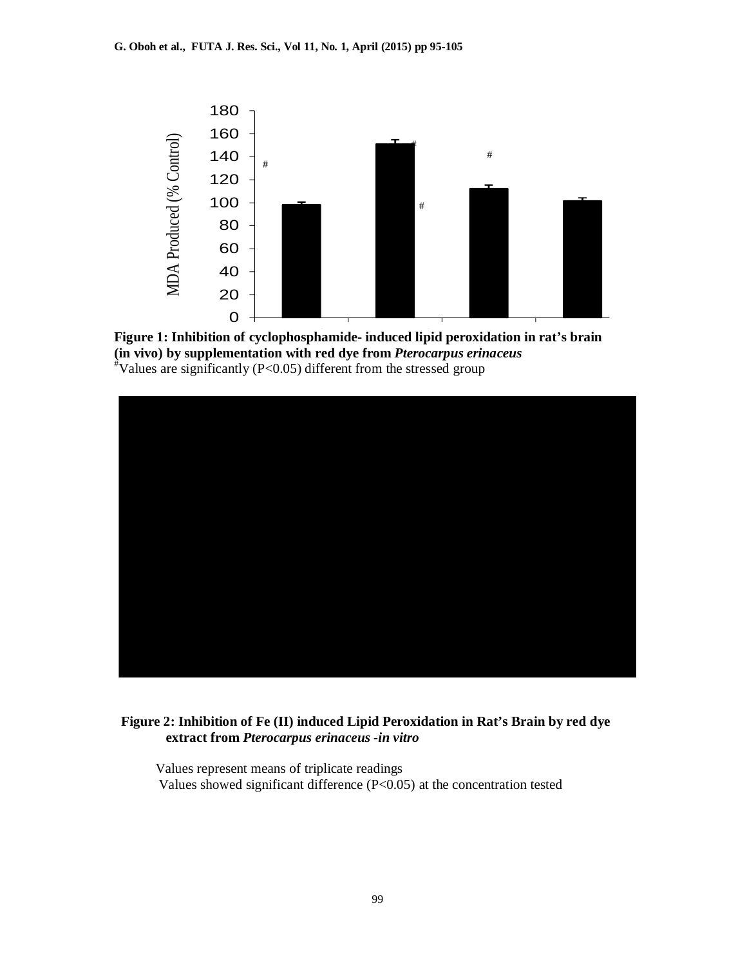

Figure 1: Inhibition of cyclophosphamide- induced lipid peroxidation in rat's brain **(in vivo) by supplementation with red dye from** *Pterocarpus erinaceus* #Values are significantly (P<0.05) different from the stressed group



#### **Figure 2: Inhibition of Fe (II) induced Lipid Peroxidation in Rat's Brain by red dye extract from** *Pterocarpus erinaceus -in vitro*

 Values represent means of triplicate readings Values showed significant difference (P<0.05) at the concentration tested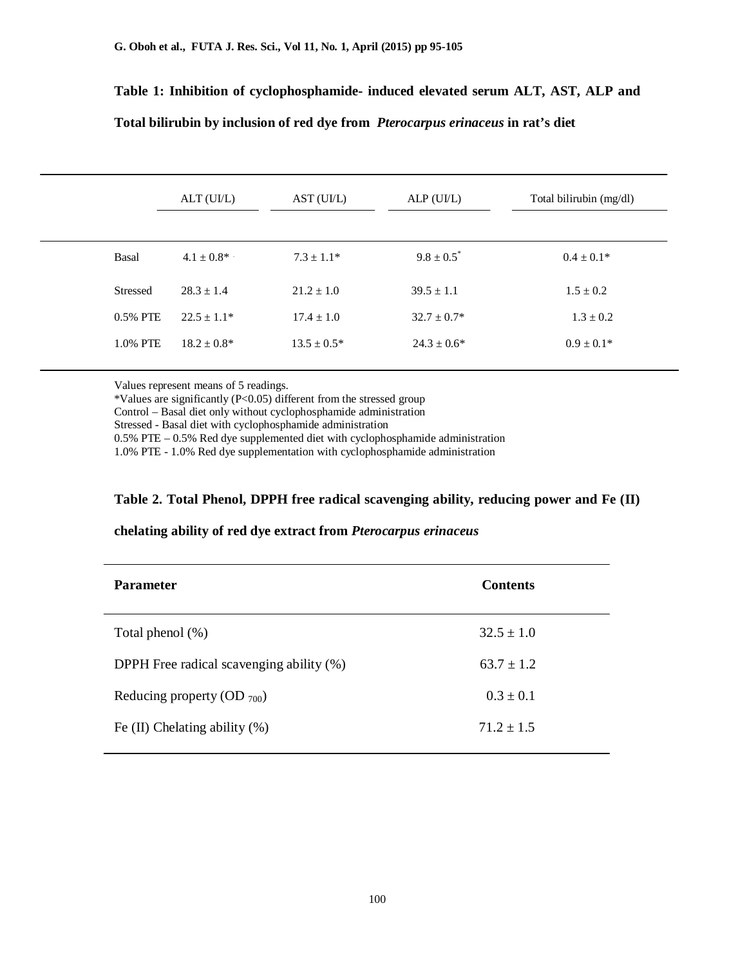# **Table 1: Inhibition of cyclophosphamide- induced elevated serum ALT, AST, ALP and Total bilirubin by inclusion of red dye from** *Pterocarpus erinaceus* **in rat's diet**

|                 | ALT (UI/L)       | AST(UIL)         | ALP(UIL)         | Total bilirubin (mg/dl) |
|-----------------|------------------|------------------|------------------|-------------------------|
| Basal           | $4.1 \pm 0.8^*$  | $7.3 \pm 1.1*$   | $9.8 \pm 0.5^*$  | $0.4 \pm 0.1*$          |
| <b>Stressed</b> | $28.3 \pm 1.4$   | $21.2 \pm 1.0$   | $39.5 \pm 1.1$   | $1.5 \pm 0.2$           |
| 0.5% PTE        | $22.5 \pm 1.1*$  | $17.4 \pm 1.0$   | $32.7 \pm 0.7^*$ | $1.3 \pm 0.2$           |
| 1.0% PTE        | $18.2 \pm 0.8^*$ | $13.5 \pm 0.5^*$ | $24.3 \pm 0.6^*$ | $0.9 \pm 0.1*$          |
|                 |                  |                  |                  |                         |

Values represent means of 5 readings.

٦

\*Values are significantly (P<0.05) different from the stressed group

Control – Basal diet only without cyclophosphamide administration

Stressed - Basal diet with cyclophosphamide administration

0.5% PTE – 0.5% Red dye supplemented diet with cyclophosphamide administration

1.0% PTE - 1.0% Red dye supplementation with cyclophosphamide administration

#### **Table 2. Total Phenol, DPPH free radical scavenging ability, reducing power and Fe (II)**

#### **chelating ability of red dye extract from** *Pterocarpus erinaceus*

| <b>Parameter</b>                         | <b>Contents</b> |
|------------------------------------------|-----------------|
| Total phenol $(\%)$                      | $32.5 \pm 1.0$  |
| DPPH Free radical scavenging ability (%) | $63.7 \pm 1.2$  |
| Reducing property (OD $_{700}$ )         | $0.3 \pm 0.1$   |
| Fe $(II)$ Chelating ability $(\%)$       | $71.2 \pm 1.5$  |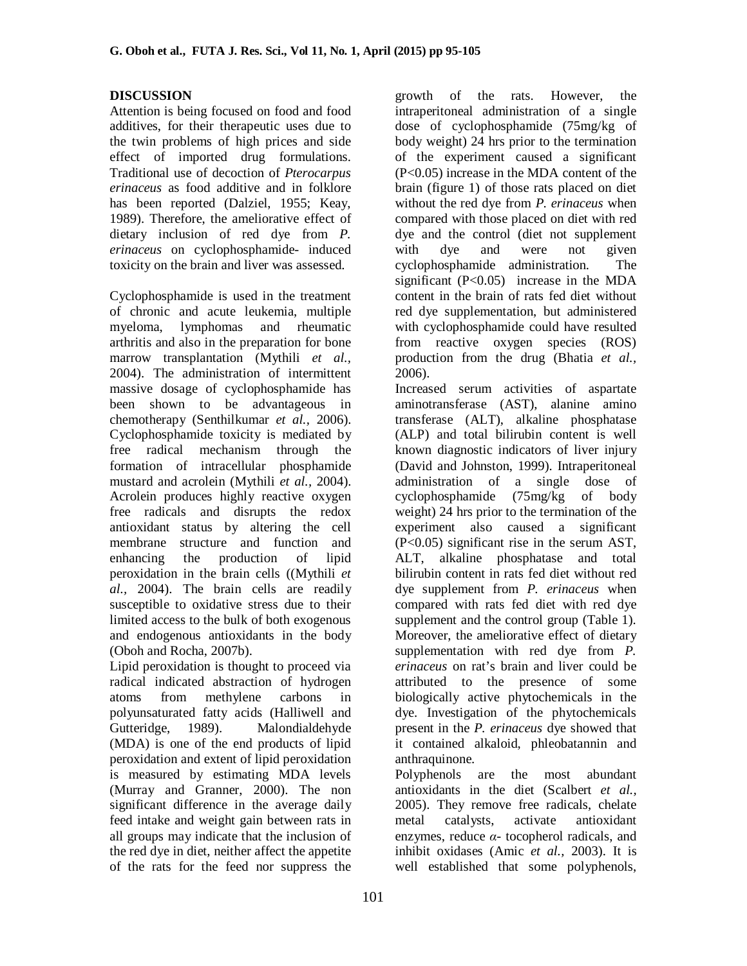### **DISCUSSION**

Attention is being focused on food and food additives, for their therapeutic uses due to the twin problems of high prices and side effect of imported drug formulations. Traditional use of decoction of *Pterocarpus erinaceus* as food additive and in folklore has been reported (Dalziel, 1955; Keay, 1989). Therefore, the ameliorative effect of dietary inclusion of red dye from *P. erinaceus* on cyclophosphamide- induced toxicity on the brain and liver was assessed.

Cyclophosphamide is used in the treatment of chronic and acute leukemia, multiple myeloma, lymphomas and rheumatic arthritis and also in the preparation for bone marrow transplantation (Mythili *et al.,* 2004). The administration of intermittent massive dosage of cyclophosphamide has been shown to be advantageous in chemotherapy (Senthilkumar *et al.,* 2006). Cyclophosphamide toxicity is mediated by free radical mechanism through the formation of intracellular phosphamide mustard and acrolein (Mythili *et al.,* 2004). Acrolein produces highly reactive oxygen free radicals and disrupts the redox antioxidant status by altering the cell membrane structure and function and enhancing the production of lipid peroxidation in the brain cells ((Mythili *et al.,* 2004). The brain cells are readily susceptible to oxidative stress due to their limited access to the bulk of both exogenous and endogenous antioxidants in the body (Oboh and Rocha, 2007b).

Lipid peroxidation is thought to proceed via radical indicated abstraction of hydrogen atoms from methylene carbons in polyunsaturated fatty acids (Halliwell and Gutteridge, 1989). Malondialdehyde (MDA) is one of the end products of lipid peroxidation and extent of lipid peroxidation is measured by estimating MDA levels (Murray and Granner, 2000). The non significant difference in the average daily feed intake and weight gain between rats in all groups may indicate that the inclusion of the red dye in diet, neither affect the appetite of the rats for the feed nor suppress the

growth of the rats. However, the intraperitoneal administration of a single dose of cyclophosphamide (75mg/kg of body weight) 24 hrs prior to the termination of the experiment caused a significant (P<0.05) increase in the MDA content of the brain (figure 1) of those rats placed on diet without the red dye from *P. erinaceus* when compared with those placed on diet with red dye and the control (diet not supplement with dye and were not given cyclophosphamide administration. The significant  $(P<0.05)$  increase in the MDA content in the brain of rats fed diet without red dye supplementation, but administered with cyclophosphamide could have resulted from reactive oxygen species (ROS) production from the drug (Bhatia *et al.,* 2006).

Increased serum activities of aspartate aminotransferase (AST), alanine amino transferase (ALT), alkaline phosphatase (ALP) and total bilirubin content is well known diagnostic indicators of liver injury (David and Johnston, 1999). Intraperitoneal administration of a single dose of cyclophosphamide (75mg/kg of body weight) 24 hrs prior to the termination of the experiment also caused a significant (P<0.05) significant rise in the serum AST, ALT, alkaline phosphatase and total bilirubin content in rats fed diet without red dye supplement from *P. erinaceus* when compared with rats fed diet with red dye supplement and the control group (Table 1). Moreover, the ameliorative effect of dietary supplementation with red dye from *P. erinaceus* on rat's brain and liver could be attributed to the presence of some biologically active phytochemicals in the dye. Investigation of the phytochemicals present in the *P. erinaceus* dye showed that it contained alkaloid, phleobatannin and anthraquinone.

Polyphenols are the most abundant antioxidants in the diet (Scalbert *et al.,* 2005). They remove free radicals, chelate metal catalysts, activate antioxidant enzymes, reduce *α*- tocopherol radicals, and inhibit oxidases (Amic *et al.,* 2003). It is well established that some polyphenols,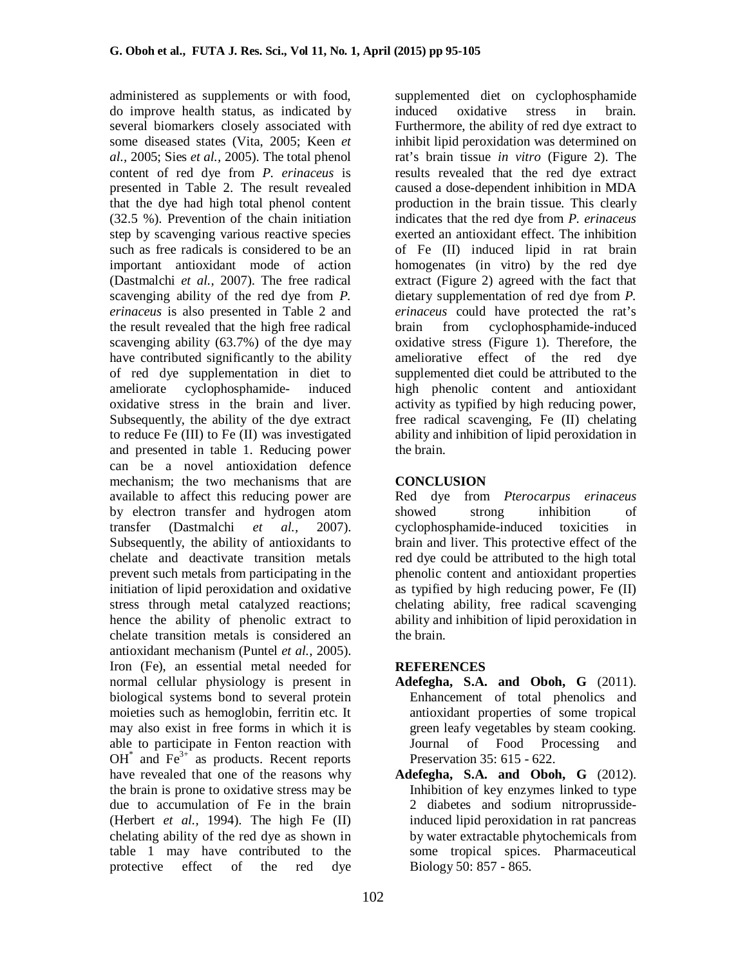administered as supplements or with food, do improve health status, as indicated by several biomarkers closely associated with some diseased states (Vita, 2005; Keen *et al.,* 2005; Sies *et al.,* 2005). The total phenol content of red dye from *P. erinaceus* is presented in Table 2. The result revealed that the dye had high total phenol content (32.5 %). Prevention of the chain initiation step by scavenging various reactive species such as free radicals is considered to be an important antioxidant mode of action (Dastmalchi *et al.,* 2007). The free radical scavenging ability of the red dye from *P. erinaceus* is also presented in Table 2 and the result revealed that the high free radical scavenging ability (63.7%) of the dye may have contributed significantly to the ability of red dye supplementation in diet to cyclophosphamide- induced oxidative stress in the brain and liver. Subsequently, the ability of the dye extract to reduce Fe (III) to Fe (II) was investigated and presented in table 1. Reducing power can be a novel antioxidation defence mechanism; the two mechanisms that are available to affect this reducing power are by electron transfer and hydrogen atom transfer (Dastmalchi *et al.,* 2007). Subsequently, the ability of antioxidants to chelate and deactivate transition metals prevent such metals from participating in the initiation of lipid peroxidation and oxidative stress through metal catalyzed reactions; hence the ability of phenolic extract to chelate transition metals is considered an antioxidant mechanism (Puntel *et al.,* 2005). Iron (Fe), an essential metal needed for normal cellular physiology is present in biological systems bond to several protein moieties such as hemoglobin, ferritin etc. It may also exist in free forms in which it is able to participate in Fenton reaction with OH $*$  and Fe<sup>3+</sup> as products. Recent reports have revealed that one of the reasons why the brain is prone to oxidative stress may be due to accumulation of Fe in the brain (Herbert *et al.,* 1994). The high Fe (II) chelating ability of the red dye as shown in table 1 may have contributed to the protective effect of the red dye

supplemented diet on cyclophosphamide induced oxidative stress in brain. Furthermore, the ability of red dye extract to inhibit lipid peroxidation was determined on rat's brain tissue *in vitro* (Figure 2). The results revealed that the red dye extract caused a dose-dependent inhibition in MDA production in the brain tissue. This clearly indicates that the red dye from *P. erinaceus* exerted an antioxidant effect. The inhibition of Fe (II) induced lipid in rat brain homogenates (in vitro) by the red dye extract (Figure 2) agreed with the fact that dietary supplementation of red dye from *P. erinaceus* could have protected the rat's brain from cyclophosphamide-induced oxidative stress (Figure 1). Therefore, the ameliorative effect of the red dye supplemented diet could be attributed to the high phenolic content and antioxidant activity as typified by high reducing power, free radical scavenging, Fe (II) chelating ability and inhibition of lipid peroxidation in the brain.

#### **CONCLUSION**

Red dye from *Pterocarpus erinaceus* showed strong inhibition of cyclophosphamide-induced toxicities in brain and liver. This protective effect of the red dye could be attributed to the high total phenolic content and antioxidant properties as typified by high reducing power, Fe (II) chelating ability, free radical scavenging ability and inhibition of lipid peroxidation in the brain.

#### **REFERENCES**

- **Adefegha, S.A. and Oboh, G** (2011). Enhancement of total phenolics and antioxidant properties of some tropical green leafy vegetables by steam cooking. Journal of Food Processing and Preservation 35: 615 - 622.
- **Adefegha, S.A. and Oboh, G** (2012). Inhibition of key enzymes linked to type 2 diabetes and sodium nitroprussideinduced lipid peroxidation in rat pancreas by water extractable phytochemicals from some tropical spices. Pharmaceutical Biology 50: 857 - 865.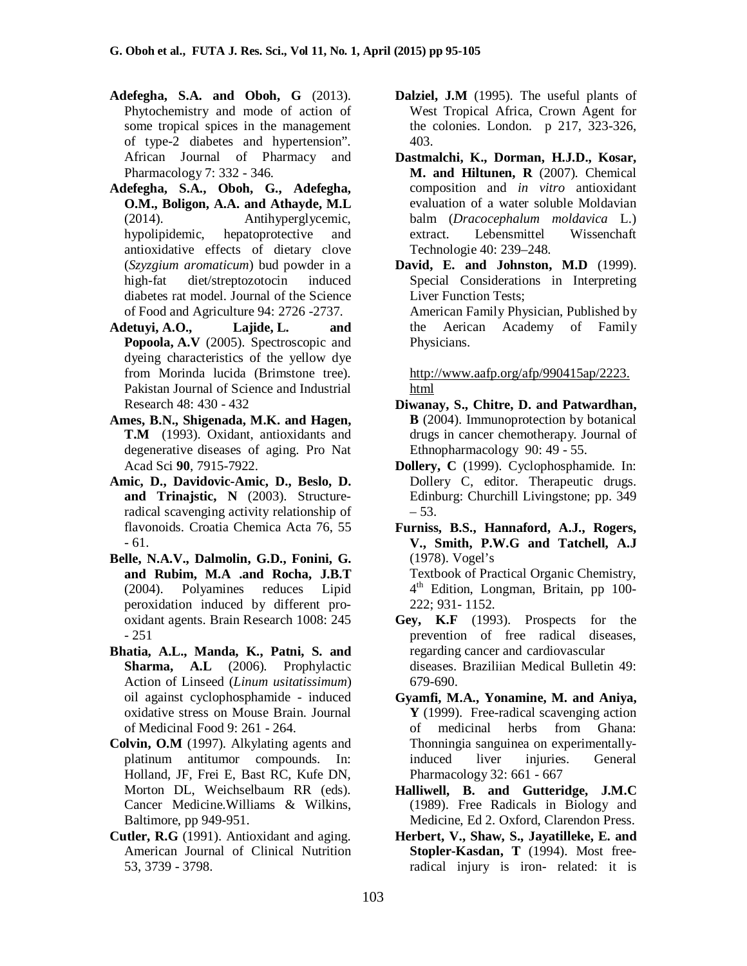- **Adefegha, S.A. and Oboh, G** (2013). Phytochemistry and mode of action of some tropical spices in the management of type-2 diabetes and hypertension". African Journal of Pharmacy and Pharmacology 7: 332 - 346.
- **Adefegha, S.A., Oboh, G., Adefegha, O.M., Boligon, A.A. and Athayde, M.L** (2014). Antihyperglycemic, hypolipidemic, hepatoprotective and antioxidative effects of dietary clove (*Szyzgium aromaticum*) bud powder in a high-fat diet/streptozotocin induced diabetes rat model. Journal of the Science of Food and Agriculture 94: 2726 -2737.
- **Adetuyi, A.O., Lajide, L. and Popoola, A.V** (2005). Spectroscopic and dyeing characteristics of the yellow dye from Morinda lucida (Brimstone tree). Pakistan Journal of Science and Industrial Research 48: 430 - 432
- **Ames, B.N., Shigenada, M.K. and Hagen, T.M** (1993). Oxidant, antioxidants and degenerative diseases of aging. Pro Nat Acad Sci **90**, 7915-7922.
- **Amic, D., Davidovic-Amic, D., Beslo, D. and Trinajstic, N** (2003). Structureradical scavenging activity relationship of flavonoids. Croatia Chemica Acta 76, 55 - 61.
- **Belle, N.A.V., Dalmolin, G.D., Fonini, G. and Rubim, M.A .and Rocha, J.B.T** (2004). Polyamines reduces Lipid peroxidation induced by different prooxidant agents. Brain Research 1008: 245 - 251
- **Bhatia, A.L., Manda, K., Patni, S. and Sharma, A.L** (2006). Prophylactic Action of Linseed (*Linum usitatissimum*) oil against cyclophosphamide - induced oxidative stress on Mouse Brain. Journal of Medicinal Food 9: 261 - 264.
- **Colvin, O.M** (1997). Alkylating agents and platinum antitumor compounds. In: Holland, JF, Frei E, Bast RC, Kufe DN, Morton DL, Weichselbaum RR (eds). Cancer Medicine.Williams & Wilkins, Baltimore, pp 949-951.
- **Cutler, R.G** (1991). Antioxidant and aging. American Journal of Clinical Nutrition 53, 3739 - 3798.
- **Dalziel, J.M** (1995). The useful plants of West Tropical Africa, Crown Agent for the colonies. London. p 217, 323-326, 403.
- **Dastmalchi, K., Dorman, H.J.D., Kosar, M. and Hiltunen, R** (2007). Chemical composition and *in vitro* antioxidant evaluation of a water soluble Moldavian balm (*Dracocephalum moldavica* L.) extract. Lebensmittel Wissenchaft Technologie 40: 239–248.
- **David, E. and Johnston, M.D** (1999). Special Considerations in Interpreting Liver Function Tests; American Family Physician, Published by the Aerican Academy of Family Physicians.

http://www.aafp.org/afp/990415ap/2223. html

- **Diwanay, S., Chitre, D. and Patwardhan, B** (2004). Immunoprotection by botanical drugs in cancer chemotherapy. Journal of Ethnopharmacology 90: 49 - 55.
- **Dollery, C** (1999). Cyclophosphamide. In: Dollery C, editor. Therapeutic drugs. Edinburg: Churchill Livingstone; pp. 349 – 53.
- **Furniss, B.S., Hannaford, A.J., Rogers, V., Smith, P.W.G and Tatchell, A.J** (1978). Vogel's Textbook of Practical Organic Chemistry,

4 th Edition, Longman, Britain, pp 100- 222; 931- 1152.

- **Gey, K.F** (1993). Prospects for the prevention of free radical diseases, regarding cancer and cardiovascular diseases. Braziliian Medical Bulletin 49: 679-690.
- **Gyamfi, M.A., Yonamine, M. and Aniya, Y** (1999). Free-radical scavenging action of medicinal herbs from Ghana: Thonningia sanguinea on experimentallyinduced liver injuries. General Pharmacology 32: 661 - 667
- **Halliwell, B. and Gutteridge, J.M.C** (1989). Free Radicals in Biology and Medicine, Ed 2. Oxford, Clarendon Press.
- **Herbert, V., Shaw, S., Jayatilleke, E. and Stopler-Kasdan, T** (1994). Most freeradical injury is iron- related: it is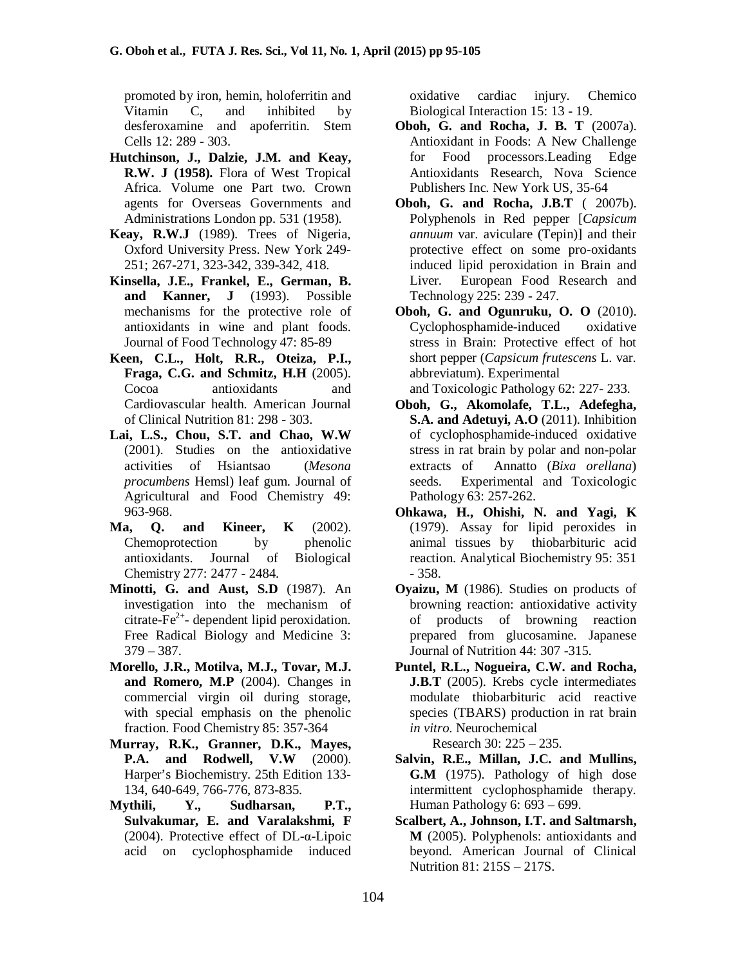promoted by iron, hemin, holoferritin and Vitamin C, and inhibited by desferoxamine and apoferritin. Stem Cells 12: 289 - 303.

- **Hutchinson, J., Dalzie, J.M. and Keay, R.W. J (1958).** Flora of West Tropical Africa. Volume one Part two. Crown agents for Overseas Governments and Administrations London pp. 531 (1958).
- **Keay, R.W.J** (1989). Trees of Nigeria, Oxford University Press. New York 249- 251; 267-271, 323-342, 339-342, 418.
- **Kinsella, J.E., Frankel, E., German, B. and Kanner, J** (1993). Possible mechanisms for the protective role of antioxidants in wine and plant foods. Journal of Food Technology 47: 85-89
- **Keen, C.L., Holt, R.R., Oteiza, P.I., Fraga, C.G. and Schmitz, H.H** (2005). Cocoa antioxidants and Cardiovascular health. American Journal of Clinical Nutrition 81: 298 - 303.
- **Lai, L.S., Chou, S.T. and Chao, W.W** (2001). Studies on the antioxidative activities of Hsiantsao (*Mesona procumbens* Hemsl) leaf gum. Journal of Agricultural and Food Chemistry 49: 963-968.
- **Ma, Q. and Kineer, K** (2002). Chemoprotection by phenolic antioxidants. Journal of Biological Chemistry 277: 2477 - 2484.
- **Minotti, G. and Aust, S.D** (1987). An investigation into the mechanism of  $c$ itrate-Fe<sup>2+</sup>- dependent lipid peroxidation. Free Radical Biology and Medicine 3: 379 – 387.
- **Morello, J.R., Motilva, M.J., Tovar, M.J. and Romero, M.P** (2004). Changes in commercial virgin oil during storage, with special emphasis on the phenolic fraction. Food Chemistry 85: 357-364
- **Murray, R.K., Granner, D.K., Mayes, P.A. and Rodwell, V.W** (2000). Harper's Biochemistry. 25th Edition 133- 134, 640-649, 766-776, 873-835.
- **Mythili, Y., Sudharsan, P.T., Sulvakumar, E. and Varalakshmi, F** (2004). Protective effect of DL-α-Lipoic acid on cyclophosphamide induced

oxidative cardiac injury. Chemico Biological Interaction 15: 13 - 19.

- **Oboh, G. and Rocha, J. B. T** (2007a). Antioxidant in Foods: A New Challenge for Food processors.Leading Edge Antioxidants Research, Nova Science Publishers Inc. New York US, 35-64
- **Oboh, G. and Rocha, J.B.T** ( 2007b). Polyphenols in Red pepper [*Capsicum annuum* var. aviculare (Tepin)] and their protective effect on some pro-oxidants induced lipid peroxidation in Brain and Liver. European Food Research and Technology 225: 239 - 247.
- **Oboh, G. and Ogunruku, O. O** (2010). Cyclophosphamide-induced oxidative stress in Brain: Protective effect of hot short pepper (*Capsicum frutescens* L. var. abbreviatum). Experimental and Toxicologic Pathology 62: 227- 233.
- **Oboh, G., Akomolafe, T.L., Adefegha, S.A. and Adetuyi, A.O** (2011). Inhibition of cyclophosphamide-induced oxidative stress in rat brain by polar and non-polar extracts of Annatto (*Bixa orellana*) seeds. Experimental and Toxicologic Pathology 63: 257-262.
- **Ohkawa, H., Ohishi, N. and Yagi, K** (1979). Assay for lipid peroxides in animal tissues by thiobarbituric acid reaction. Analytical Biochemistry 95: 351 - 358.
- **Oyaizu, M** (1986). Studies on products of browning reaction: antioxidative activity of products of browning reaction prepared from glucosamine. Japanese Journal of Nutrition 44: 307 -315.
- **Puntel, R.L., Nogueira, C.W. and Rocha, J.B.T** (2005). Krebs cycle intermediates modulate thiobarbituric acid reactive species (TBARS) production in rat brain *in vitro*. Neurochemical

Research 30: 225 – 235.

- **Salvin, R.E., Millan, J.C. and Mullins, G.M** (1975). Pathology of high dose intermittent cyclophosphamide therapy. Human Pathology 6: 693 – 699.
- **Scalbert, A., Johnson, I.T. and Saltmarsh, M** (2005). Polyphenols: antioxidants and beyond. American Journal of Clinical Nutrition 81: 215S – 217S.